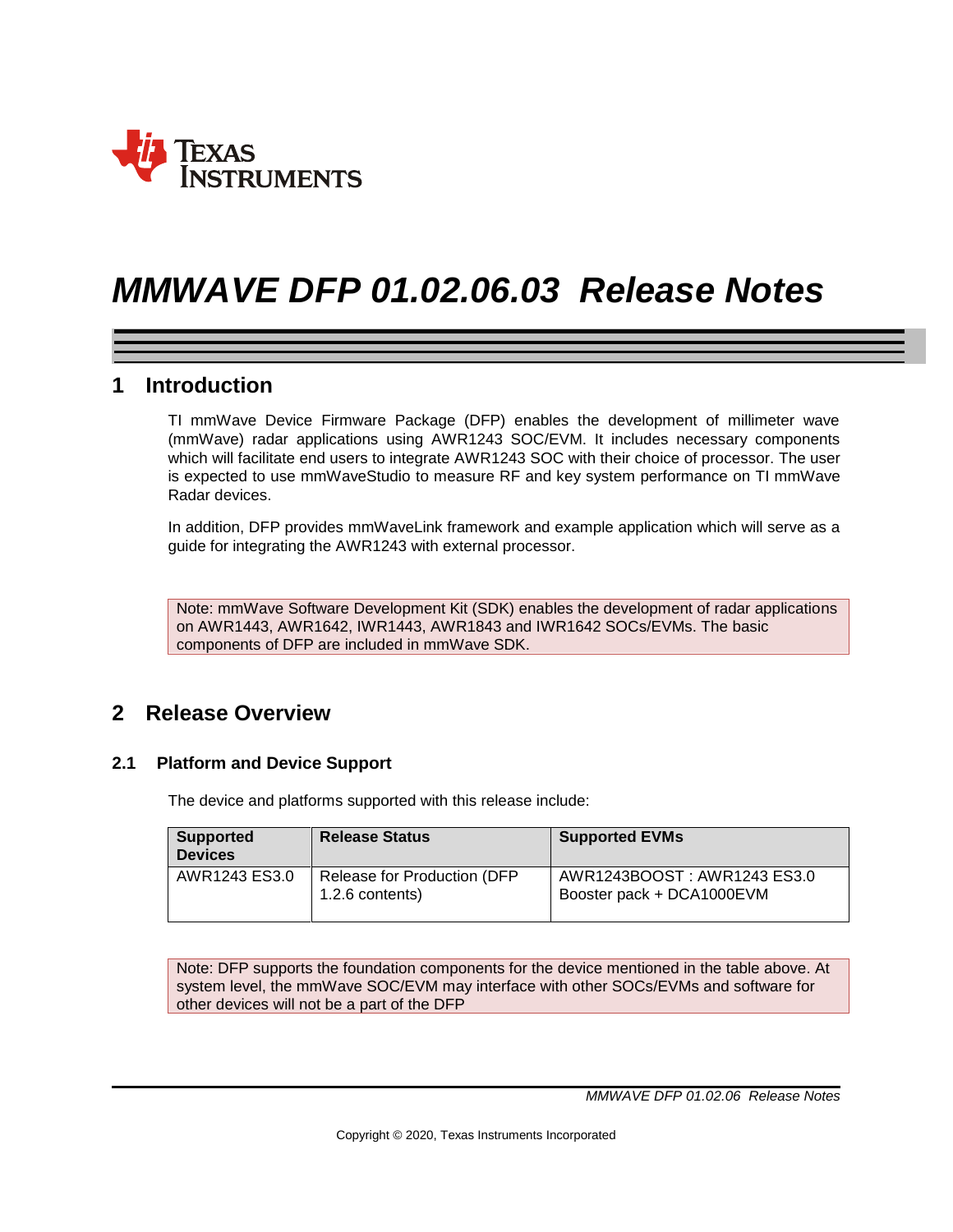

# *MMWAVE DFP 01.02.06.03 Release Notes*

# **1 Introduction**

TI mmWave Device Firmware Package (DFP) enables the development of millimeter wave (mmWave) radar applications using AWR1243 SOC/EVM. It includes necessary components which will facilitate end users to integrate AWR1243 SOC with their choice of processor. The user is expected to use mmWaveStudio to measure RF and key system performance on TI mmWave Radar devices.

In addition, DFP provides mmWaveLink framework and example application which will serve as a guide for integrating the AWR1243 with external processor.

Note: mmWave Software Development Kit (SDK) enables the development of radar applications on AWR1443, AWR1642, IWR1443, AWR1843 and IWR1642 SOCs/EVMs. The basic components of DFP are included in mmWave SDK.

# **2 Release Overview**

### **2.1 Platform and Device Support**

The device and platforms supported with this release include:

| <b>Supported</b><br><b>Devices</b> | <b>Release Status</b>                          | <b>Supported EVMs</b>                                    |
|------------------------------------|------------------------------------------------|----------------------------------------------------------|
| AWR1243 ES3.0                      | Release for Production (DFP<br>1.2.6 contents) | AWR1243BOOST: AWR1243 ES3.0<br>Booster pack + DCA1000EVM |

Note: DFP supports the foundation components for the device mentioned in the table above. At system level, the mmWave SOC/EVM may interface with other SOCs/EVMs and software for other devices will not be a part of the DFP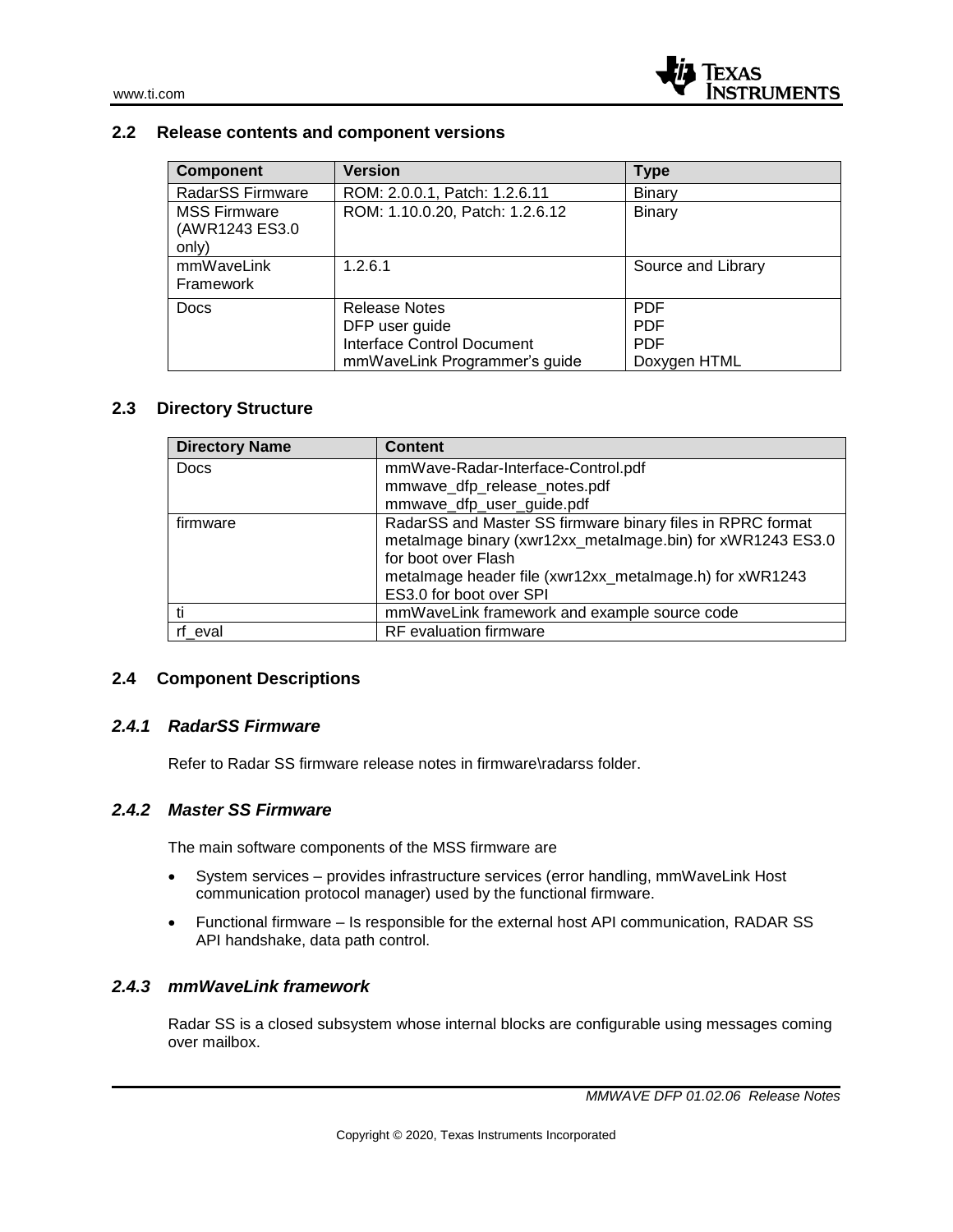#### **2.2 Release contents and component versions**

| <b>Component</b>                               | <b>Version</b>                    | <b>Type</b>        |
|------------------------------------------------|-----------------------------------|--------------------|
| RadarSS Firmware                               | ROM: 2.0.0.1, Patch: 1.2.6.11     | Binary             |
| <b>MSS Firmware</b><br>(AWR1243 ES3.0<br>only) | ROM: 1.10.0.20, Patch: 1.2.6.12   | Binary             |
| mmWaveLink<br>Framework                        | 1.2.6.1                           | Source and Library |
| <b>Docs</b>                                    | <b>Release Notes</b>              | <b>PDF</b>         |
|                                                | DFP user guide                    | <b>PDF</b>         |
|                                                | <b>Interface Control Document</b> | <b>PDF</b>         |
|                                                | mmWaveLink Programmer's guide     | Doxygen HTML       |

### **2.3 Directory Structure**

| <b>Directory Name</b> | <b>Content</b>                                             |
|-----------------------|------------------------------------------------------------|
| <b>Docs</b>           | mmWave-Radar-Interface-Control.pdf                         |
|                       | mmwave_dfp_release_notes.pdf                               |
|                       | mmwave_dfp_user_guide.pdf                                  |
| firmware              | RadarSS and Master SS firmware binary files in RPRC format |
|                       | metalmage binary (xwr12xx_metalmage.bin) for xWR1243 ES3.0 |
|                       | for boot over Flash                                        |
|                       | metalmage header file (xwr12xx_metalmage.h) for xWR1243    |
|                       | ES3.0 for boot over SPI                                    |
|                       | mmWaveLink framework and example source code               |
| rf eval               | <b>RF</b> evaluation firmware                              |

#### **2.4 Component Descriptions**

#### *2.4.1 RadarSS Firmware*

Refer to Radar SS firmware release notes in firmware\radarss folder.

#### *2.4.2 Master SS Firmware*

The main software components of the MSS firmware are

- System services provides infrastructure services (error handling, mmWaveLink Host communication protocol manager) used by the functional firmware.
- Functional firmware Is responsible for the external host API communication, RADAR SS API handshake, data path control.

#### *2.4.3 mmWaveLink framework*

Radar SS is a closed subsystem whose internal blocks are configurable using messages coming over mailbox.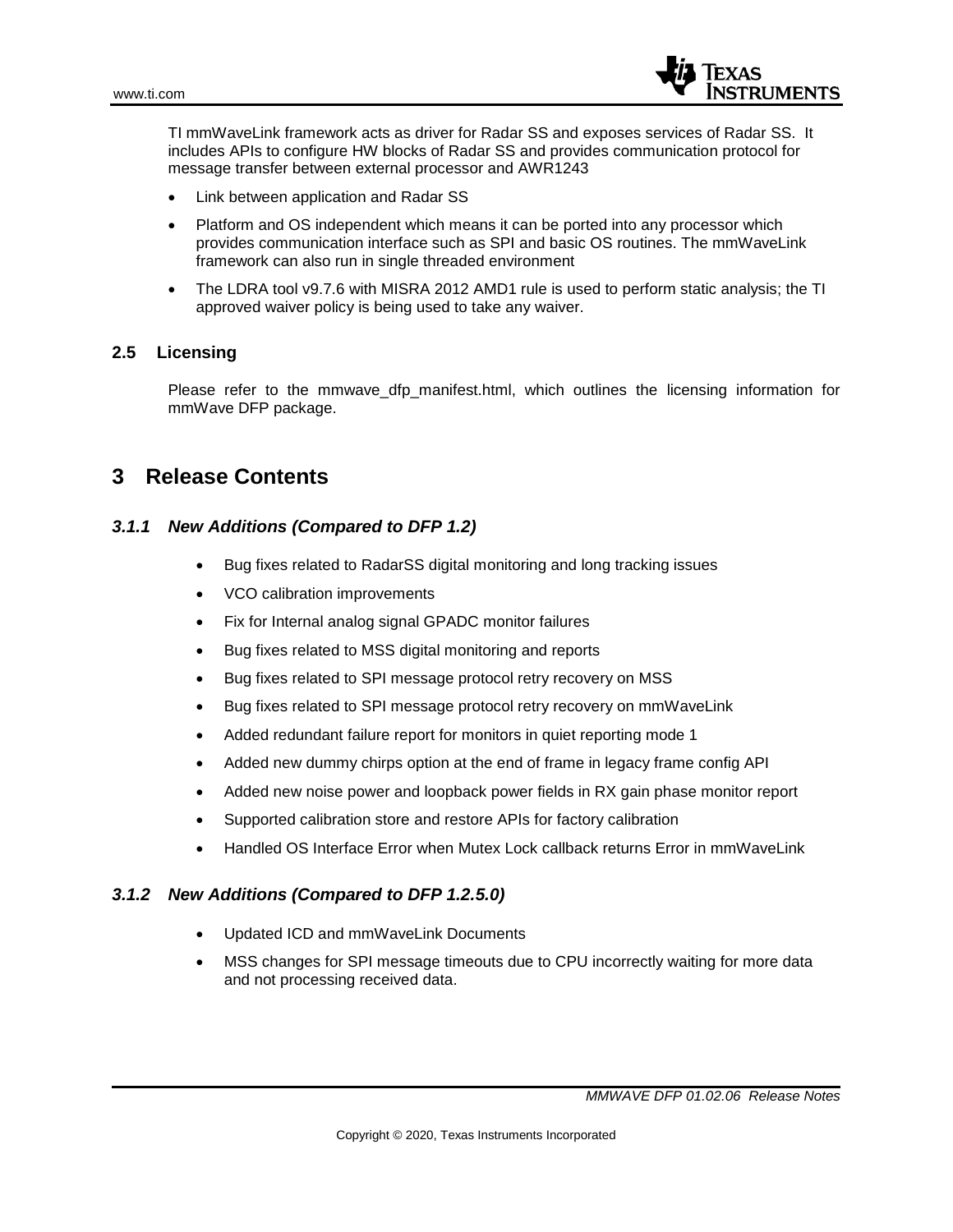

TI mmWaveLink framework acts as driver for Radar SS and exposes services of Radar SS. It includes APIs to configure HW blocks of Radar SS and provides communication protocol for message transfer between external processor and AWR1243

- Link between application and Radar SS
- Platform and OS independent which means it can be ported into any processor which provides communication interface such as SPI and basic OS routines. The mmWaveLink framework can also run in single threaded environment
- The LDRA tool v9.7.6 with MISRA 2012 AMD1 rule is used to perform static analysis; the TI approved waiver policy is being used to take any waiver.

### **2.5 Licensing**

Please refer to the mmwave dfp manifest.html, which outlines the licensing information for mmWave DFP package.

# **3 Release Contents**

## *3.1.1 New Additions (Compared to DFP 1.2)*

- Bug fixes related to RadarSS digital monitoring and long tracking issues
- VCO calibration improvements
- Fix for Internal analog signal GPADC monitor failures
- Bug fixes related to MSS digital monitoring and reports
- Bug fixes related to SPI message protocol retry recovery on MSS
- Bug fixes related to SPI message protocol retry recovery on mmWaveLink
- Added redundant failure report for monitors in quiet reporting mode 1
- Added new dummy chirps option at the end of frame in legacy frame config API
- Added new noise power and loopback power fields in RX gain phase monitor report
- Supported calibration store and restore APIs for factory calibration
- Handled OS Interface Error when Mutex Lock callback returns Error in mmWaveLink

### *3.1.2 New Additions (Compared to DFP 1.2.5.0)*

- Updated ICD and mmWaveLink Documents
- MSS changes for SPI message timeouts due to CPU incorrectly waiting for more data and not processing received data.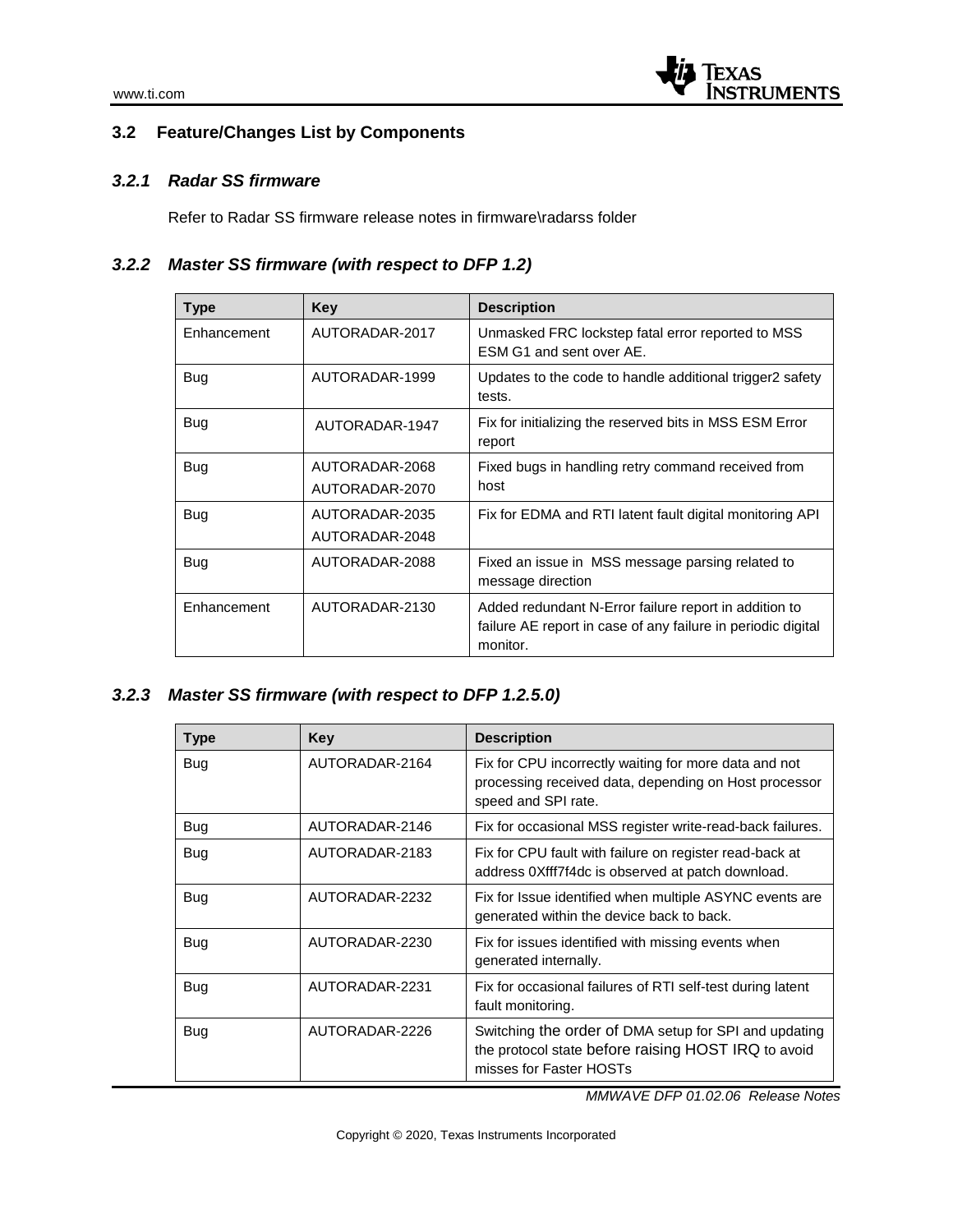# **3.2 Feature/Changes List by Components**

# *3.2.1 Radar SS firmware*

Refer to Radar SS firmware release notes in firmware\radarss folder

# *3.2.2 Master SS firmware (with respect to DFP 1.2)*

| Type        | Key            | <b>Description</b>                                                                                                                |
|-------------|----------------|-----------------------------------------------------------------------------------------------------------------------------------|
| Enhancement | AUTORADAR-2017 | Unmasked FRC lockstep fatal error reported to MSS<br>ESM G1 and sent over AE.                                                     |
| Bug         | AUTORADAR-1999 | Updates to the code to handle additional trigger2 safety<br>tests.                                                                |
| Bug         | AUTORADAR-1947 | Fix for initializing the reserved bits in MSS ESM Error<br>report                                                                 |
| Bug         | AUTORADAR-2068 | Fixed bugs in handling retry command received from                                                                                |
|             | AUTORADAR-2070 | host                                                                                                                              |
| Bug         | AUTORADAR-2035 | Fix for EDMA and RTI latent fault digital monitoring API                                                                          |
|             | AUTORADAR-2048 |                                                                                                                                   |
| Bug         | AUTORADAR-2088 | Fixed an issue in MSS message parsing related to<br>message direction                                                             |
| Enhancement | AUTORADAR-2130 | Added redundant N-Error failure report in addition to<br>failure AE report in case of any failure in periodic digital<br>monitor. |

# *3.2.3 Master SS firmware (with respect to DFP 1.2.5.0)*

| <b>Type</b> | <b>Key</b>     | <b>Description</b>                                                                                                                      |
|-------------|----------------|-----------------------------------------------------------------------------------------------------------------------------------------|
| Bug         | AUTORADAR-2164 | Fix for CPU incorrectly waiting for more data and not<br>processing received data, depending on Host processor<br>speed and SPI rate.   |
| Bug         | AUTORADAR-2146 | Fix for occasional MSS register write-read-back failures.                                                                               |
| <b>Bug</b>  | AUTORADAR-2183 | Fix for CPU fault with failure on register read-back at<br>address 0Xfff7f4dc is observed at patch download.                            |
| Bug         | AUTORADAR-2232 | Fix for Issue identified when multiple ASYNC events are<br>generated within the device back to back.                                    |
| Bug         | AUTORADAR-2230 | Fix for issues identified with missing events when<br>generated internally.                                                             |
| Bug         | AUTORADAR-2231 | Fix for occasional failures of RTI self-test during latent<br>fault monitoring.                                                         |
| Bug         | AUTORADAR-2226 | Switching the order of DMA setup for SPI and updating<br>the protocol state before raising HOST IRQ to avoid<br>misses for Faster HOSTs |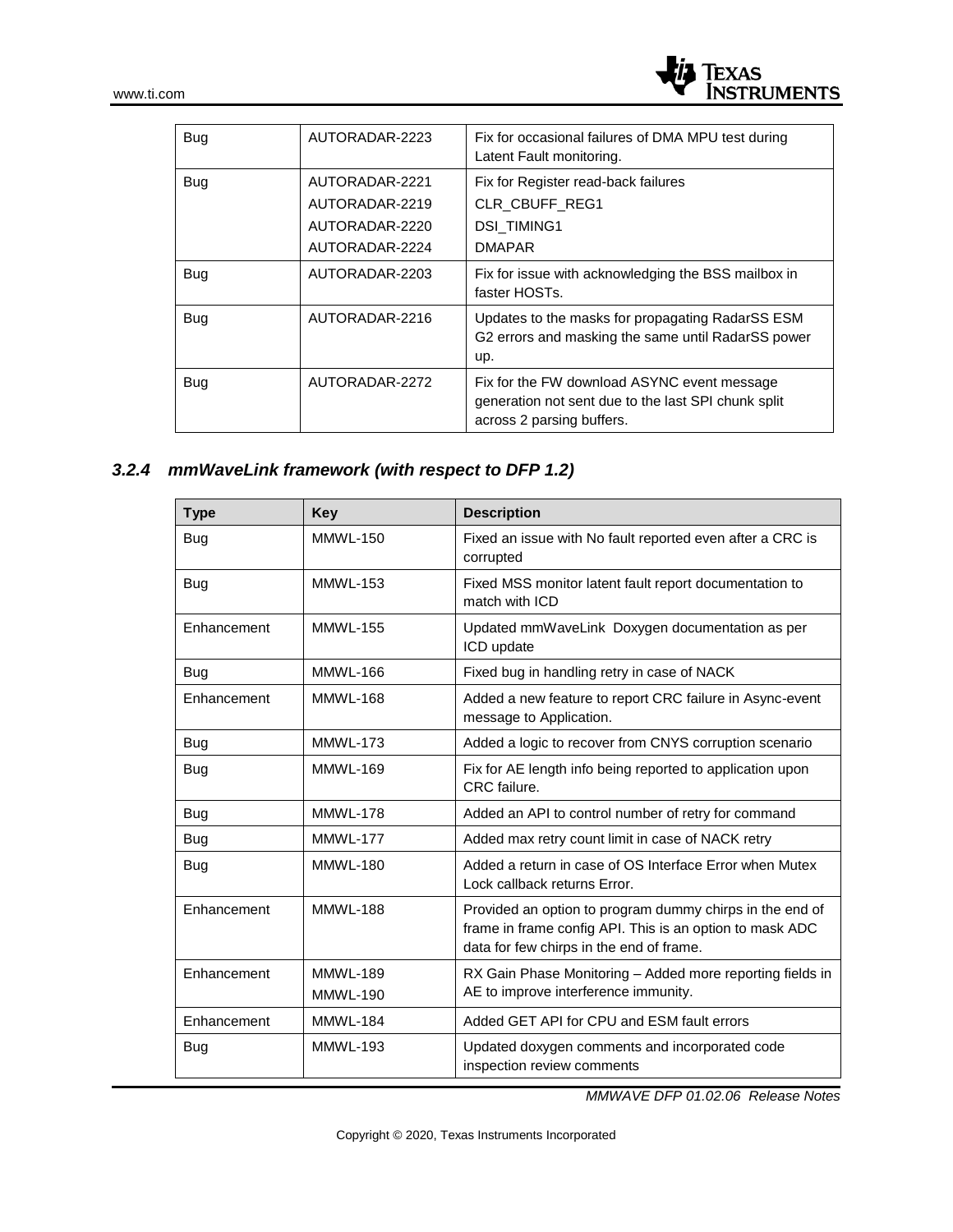

| <b>Bug</b> | AUTORADAR-2223                                                       | Fix for occasional failures of DMA MPU test during<br>Latent Fault monitoring.                                                  |
|------------|----------------------------------------------------------------------|---------------------------------------------------------------------------------------------------------------------------------|
| <b>Bug</b> | AUTORADAR-2221<br>AUTORADAR-2219<br>AUTORADAR-2220<br>AUTORADAR-2224 | Fix for Register read-back failures<br><b>CLR CBUFF REG1</b><br><b>DSI TIMING1</b><br><b>DMAPAR</b>                             |
| <b>Bug</b> | AUTORADAR-2203                                                       | Fix for issue with acknowledging the BSS mailbox in<br>faster HOSTs.                                                            |
| Bug        | AUTORADAR-2216                                                       | Updates to the masks for propagating RadarSS ESM<br>G2 errors and masking the same until RadarSS power<br>up.                   |
| <b>Bug</b> | AUTORADAR-2272                                                       | Fix for the FW download ASYNC event message<br>generation not sent due to the last SPI chunk split<br>across 2 parsing buffers. |

# *3.2.4 mmWaveLink framework (with respect to DFP 1.2)*

| <b>Type</b> | Key             | <b>Description</b>                                                                                                                                               |
|-------------|-----------------|------------------------------------------------------------------------------------------------------------------------------------------------------------------|
| Bug         | <b>MMWL-150</b> | Fixed an issue with No fault reported even after a CRC is<br>corrupted                                                                                           |
| Bug         | <b>MMWL-153</b> | Fixed MSS monitor latent fault report documentation to<br>match with ICD                                                                                         |
| Enhancement | <b>MMWL-155</b> | Updated mmWaveLink Doxygen documentation as per<br>ICD update                                                                                                    |
| Bug         | MMWL-166        | Fixed bug in handling retry in case of NACK                                                                                                                      |
| Enhancement | <b>MMWL-168</b> | Added a new feature to report CRC failure in Async-event<br>message to Application.                                                                              |
| Bug         | <b>MMWL-173</b> | Added a logic to recover from CNYS corruption scenario                                                                                                           |
| Bug         | <b>MMWL-169</b> | Fix for AE length info being reported to application upon<br>CRC failure.                                                                                        |
| Bug         | <b>MMWL-178</b> | Added an API to control number of retry for command                                                                                                              |
| Bug         | MMWL-177        | Added max retry count limit in case of NACK retry                                                                                                                |
| Bug         | <b>MMWL-180</b> | Added a return in case of OS Interface Error when Mutex<br>Lock callback returns Error.                                                                          |
| Enhancement | <b>MMWL-188</b> | Provided an option to program dummy chirps in the end of<br>frame in frame config API. This is an option to mask ADC<br>data for few chirps in the end of frame. |
| Enhancement | <b>MMWL-189</b> | RX Gain Phase Monitoring - Added more reporting fields in                                                                                                        |
|             | <b>MMWL-190</b> | AE to improve interference immunity.                                                                                                                             |
| Enhancement | <b>MMWL-184</b> | Added GET API for CPU and ESM fault errors                                                                                                                       |
| Bug         | <b>MMWL-193</b> | Updated doxygen comments and incorporated code<br>inspection review comments                                                                                     |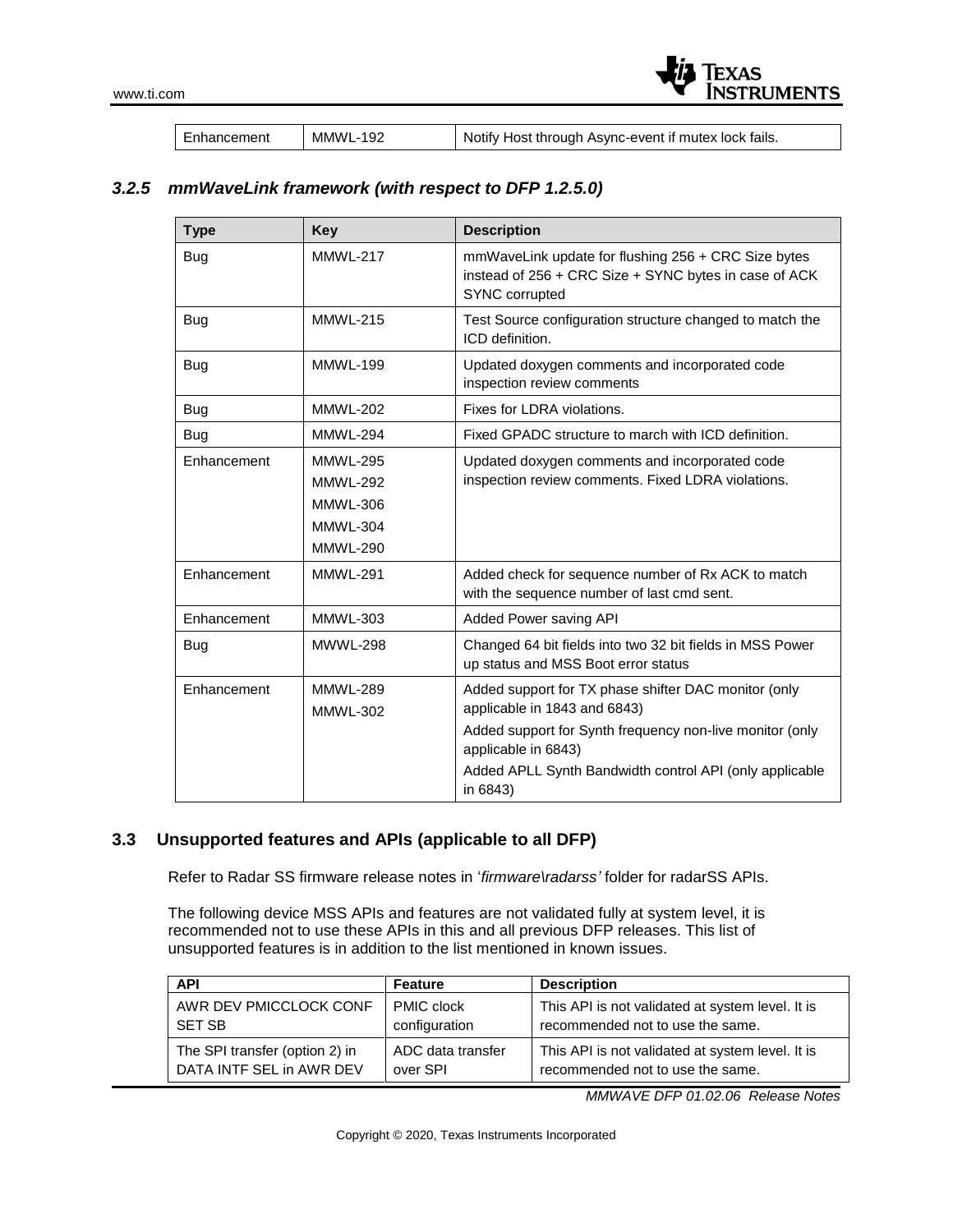

Enhancement | MMWL-192 | Notify Host through Async-event if mutex lock fails.

# *3.2.5 mmWaveLink framework (with respect to DFP 1.2.5.0)*

| <b>Type</b> | <b>Key</b>      | <b>Description</b>                                                                                                             |
|-------------|-----------------|--------------------------------------------------------------------------------------------------------------------------------|
| Bug         | <b>MMWL-217</b> | mmWaveLink update for flushing 256 + CRC Size bytes<br>instead of 256 + CRC Size + SYNC bytes in case of ACK<br>SYNC corrupted |
| Bug         | <b>MMWL-215</b> | Test Source configuration structure changed to match the<br>ICD definition.                                                    |
| Bug         | <b>MMWL-199</b> | Updated doxygen comments and incorporated code<br>inspection review comments                                                   |
| <b>Bug</b>  | <b>MMWL-202</b> | Fixes for LDRA violations.                                                                                                     |
| Bug         | <b>MMWL-294</b> | Fixed GPADC structure to march with ICD definition.                                                                            |
| Enhancement | <b>MMWL-295</b> | Updated doxygen comments and incorporated code                                                                                 |
|             | <b>MMWL-292</b> | inspection review comments. Fixed LDRA violations.                                                                             |
|             | <b>MMWL-306</b> |                                                                                                                                |
|             | <b>MMWL-304</b> |                                                                                                                                |
|             | <b>MMWL-290</b> |                                                                                                                                |
| Enhancement | <b>MMWL-291</b> | Added check for sequence number of Rx ACK to match<br>with the sequence number of last cmd sent.                               |
| Enhancement | MMWL-303        | Added Power saving API                                                                                                         |
| Bug         | <b>MWWL-298</b> | Changed 64 bit fields into two 32 bit fields in MSS Power<br>up status and MSS Boot error status                               |
| Enhancement | <b>MMWL-289</b> | Added support for TX phase shifter DAC monitor (only                                                                           |
|             | <b>MMWL-302</b> | applicable in 1843 and 6843)                                                                                                   |
|             |                 | Added support for Synth frequency non-live monitor (only<br>applicable in 6843)                                                |
|             |                 | Added APLL Synth Bandwidth control API (only applicable<br>in 6843)                                                            |

# **3.3 Unsupported features and APIs (applicable to all DFP)**

Refer to Radar SS firmware release notes in '*firmware\radarss'* folder for radarSS APIs.

The following device MSS APIs and features are not validated fully at system level, it is recommended not to use these APIs in this and all previous DFP releases. This list of unsupported features is in addition to the list mentioned in known issues.

| <b>API</b>                     | Feature           | <b>Description</b>                               |
|--------------------------------|-------------------|--------------------------------------------------|
| AWR DEV PMICCLOCK CONF         | <b>PMIC clock</b> | This API is not validated at system level. It is |
| <b>SET SB</b>                  | configuration     | recommended not to use the same.                 |
| The SPI transfer (option 2) in | ADC data transfer | This API is not validated at system level. It is |
| DATA INTF SEL in AWR DEV       | over SPI          | recommended not to use the same.                 |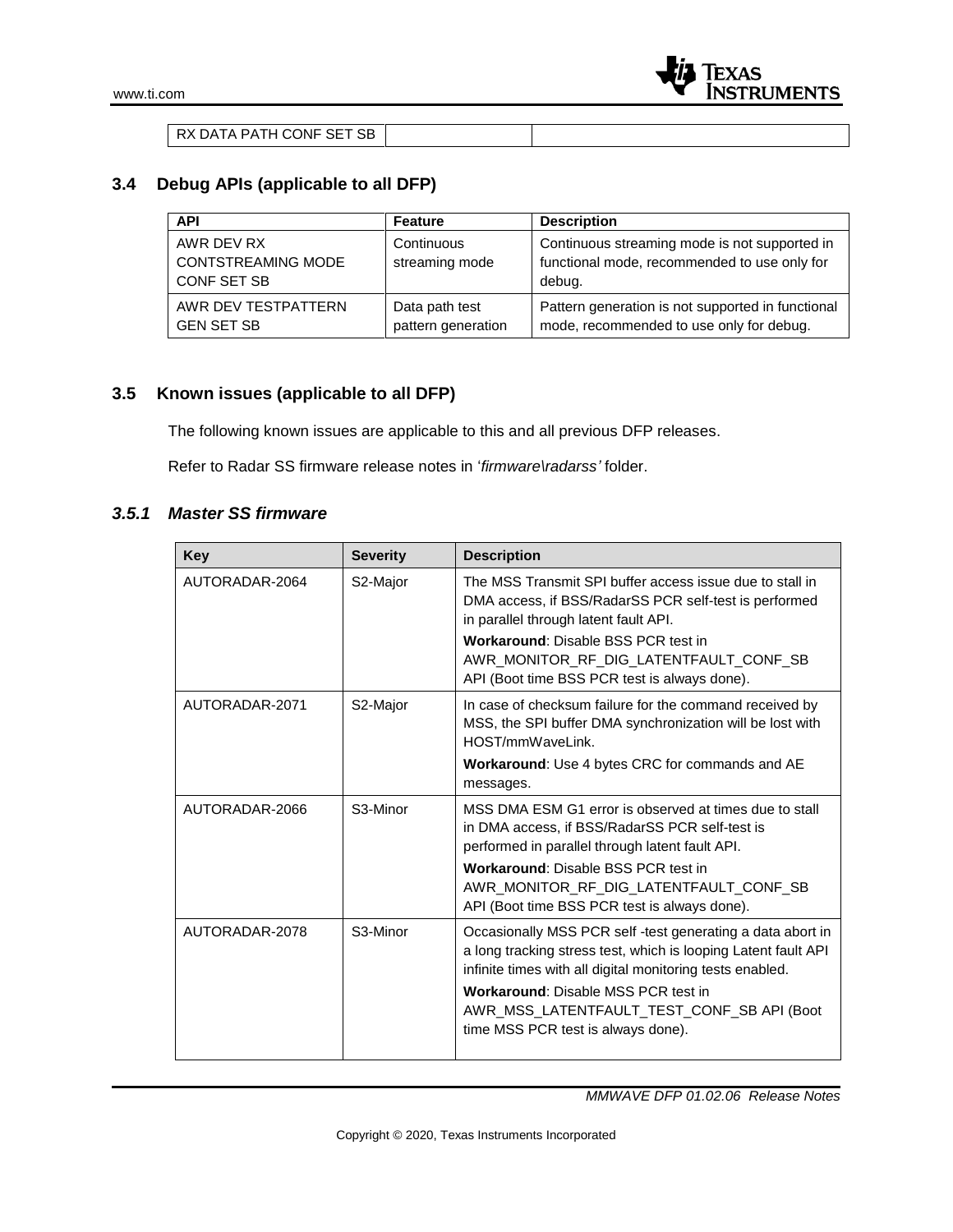| RX DATA PATH CONF SET SB |  |  |
|--------------------------|--|--|

# **3.4 Debug APIs (applicable to all DFP)**

| <b>API</b>                                             | <b>Feature</b>                       | <b>Description</b>                                                                                      |
|--------------------------------------------------------|--------------------------------------|---------------------------------------------------------------------------------------------------------|
| AWR DEV RX<br><b>CONTSTREAMING MODE</b><br>CONF SET SB | Continuous<br>streaming mode         | Continuous streaming mode is not supported in<br>functional mode, recommended to use only for<br>debug. |
| AWR DEV TESTPATTERN<br><b>GEN SET SB</b>               | Data path test<br>pattern generation | Pattern generation is not supported in functional<br>mode, recommended to use only for debug.           |

# **3.5 Known issues (applicable to all DFP)**

The following known issues are applicable to this and all previous DFP releases.

Refer to Radar SS firmware release notes in '*firmware\radarss'* folder.

#### *3.5.1 Master SS firmware*

| Key            | <b>Severity</b>       | <b>Description</b>                                                                                                                                                                                                                                                                                                         |
|----------------|-----------------------|----------------------------------------------------------------------------------------------------------------------------------------------------------------------------------------------------------------------------------------------------------------------------------------------------------------------------|
| AUTORADAR-2064 | S2-Major              | The MSS Transmit SPI buffer access issue due to stall in<br>DMA access, if BSS/RadarSS PCR self-test is performed<br>in parallel through latent fault API.                                                                                                                                                                 |
|                |                       | <b>Workaround: Disable BSS PCR test in</b><br>AWR MONITOR RF DIG LATENTFAULT CONF SB<br>API (Boot time BSS PCR test is always done).                                                                                                                                                                                       |
| AUTORADAR-2071 | S2-Major              | In case of checksum failure for the command received by<br>MSS, the SPI buffer DMA synchronization will be lost with<br>HOST/mmWaveLink.                                                                                                                                                                                   |
|                |                       | <b>Workaround:</b> Use 4 bytes CRC for commands and AE<br>messages.                                                                                                                                                                                                                                                        |
| AUTORADAR-2066 | S <sub>3</sub> -Minor | MSS DMA ESM G1 error is observed at times due to stall<br>in DMA access, if BSS/RadarSS PCR self-test is<br>performed in parallel through latent fault API.                                                                                                                                                                |
|                |                       | Workaround: Disable BSS PCR test in<br>AWR MONITOR RF DIG LATENTFAULT CONF SB<br>API (Boot time BSS PCR test is always done).                                                                                                                                                                                              |
| AUTORADAR-2078 | S <sub>3</sub> -Minor | Occasionally MSS PCR self-test generating a data abort in<br>a long tracking stress test, which is looping Latent fault API<br>infinite times with all digital monitoring tests enabled.<br><b>Workaround: Disable MSS PCR test in</b><br>AWR MSS LATENTFAULT TEST CONF SB API (Boot<br>time MSS PCR test is always done). |
|                |                       |                                                                                                                                                                                                                                                                                                                            |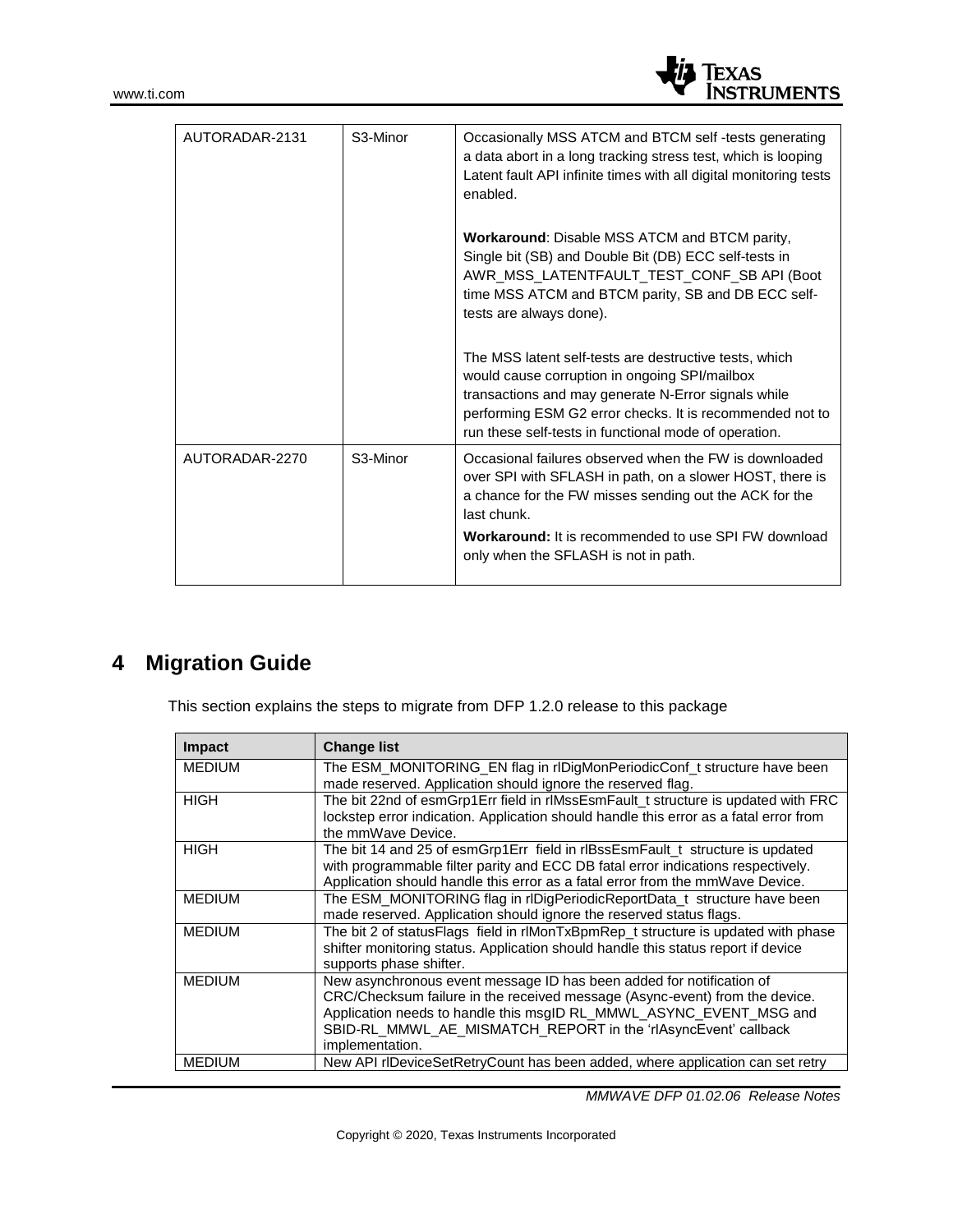

| AUTORADAR-2131 | S <sub>3</sub> -Minor | Occasionally MSS ATCM and BTCM self -tests generating<br>a data abort in a long tracking stress test, which is looping<br>Latent fault API infinite times with all digital monitoring tests<br>enabled.                                                                                            |
|----------------|-----------------------|----------------------------------------------------------------------------------------------------------------------------------------------------------------------------------------------------------------------------------------------------------------------------------------------------|
|                |                       | <b>Workaround: Disable MSS ATCM and BTCM parity,</b><br>Single bit (SB) and Double Bit (DB) ECC self-tests in<br>AWR_MSS_LATENTFAULT_TEST_CONF_SB API (Boot<br>time MSS ATCM and BTCM parity, SB and DB ECC self-<br>tests are always done).                                                       |
|                |                       | The MSS latent self-tests are destructive tests, which<br>would cause corruption in ongoing SPI/mailbox<br>transactions and may generate N-Error signals while<br>performing ESM G2 error checks. It is recommended not to<br>run these self-tests in functional mode of operation.                |
| AUTORADAR-2270 | S <sub>3</sub> -Minor | Occasional failures observed when the FW is downloaded<br>over SPI with SFLASH in path, on a slower HOST, there is<br>a chance for the FW misses sending out the ACK for the<br>last chunk.<br><b>Workaround:</b> It is recommended to use SPI FW download<br>only when the SFLASH is not in path. |

# **4 Migration Guide**

This section explains the steps to migrate from DFP 1.2.0 release to this package

| <b>Impact</b> | <b>Change list</b>                                                                                                                                                                                                                                                                                             |
|---------------|----------------------------------------------------------------------------------------------------------------------------------------------------------------------------------------------------------------------------------------------------------------------------------------------------------------|
| <b>MEDIUM</b> | The ESM_MONITORING_EN flag in rlDigMonPeriodicConf_t structure have been<br>made reserved. Application should ignore the reserved flag.                                                                                                                                                                        |
| <b>HIGH</b>   | The bit 22nd of esmGrp1Err field in rlMssEsmFault_t structure is updated with FRC<br>lockstep error indication. Application should handle this error as a fatal error from<br>the mmWave Device.                                                                                                               |
| <b>HIGH</b>   | The bit 14 and 25 of esmGrp1Err field in rlBssEsmFault t structure is updated<br>with programmable filter parity and ECC DB fatal error indications respectively.<br>Application should handle this error as a fatal error from the mmWave Device.                                                             |
| <b>MEDIUM</b> | The ESM_MONITORING flag in rlDigPeriodicReportData_t structure have been<br>made reserved. Application should ignore the reserved status flags.                                                                                                                                                                |
| <b>MEDIUM</b> | The bit 2 of statusFlags field in rlMonTxBpmRep_t structure is updated with phase<br>shifter monitoring status. Application should handle this status report if device<br>supports phase shifter.                                                                                                              |
| <b>MEDIUM</b> | New asynchronous event message ID has been added for notification of<br>CRC/Checksum failure in the received message (Async-event) from the device.<br>Application needs to handle this msgID RL_MMWL_ASYNC_EVENT_MSG and<br>SBID-RL_MMWL_AE_MISMATCH_REPORT in the 'rlAsyncEvent' callback<br>implementation. |
| <b>MEDIUM</b> | New API rIDeviceSetRetryCount has been added, where application can set retry                                                                                                                                                                                                                                  |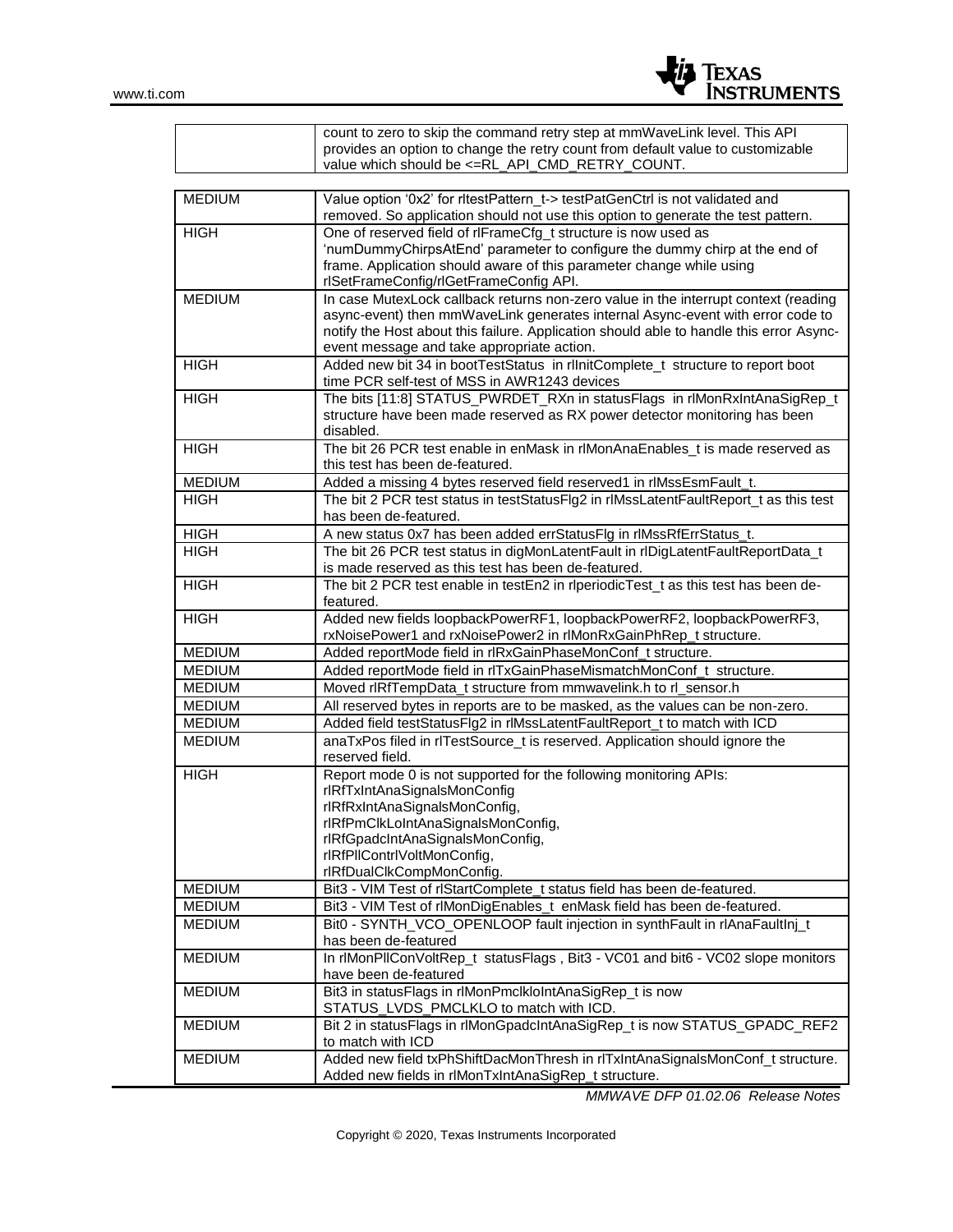

|                                | count to zero to skip the command retry step at mmWaveLink level. This API<br>provides an option to change the retry count from default value to customizable<br>value which should be <= RL_API_CMD_RETRY_COUNT. |  |  |
|--------------------------------|-------------------------------------------------------------------------------------------------------------------------------------------------------------------------------------------------------------------|--|--|
|                                |                                                                                                                                                                                                                   |  |  |
| <b>MEDIUM</b>                  | Value option '0x2' for ritestPattern t-> testPatGenCtrl is not validated and<br>removed. So application should not use this option to generate the test pattern.                                                  |  |  |
| <b>HIGH</b>                    | One of reserved field of rlFrameCfg_t structure is now used as                                                                                                                                                    |  |  |
|                                | 'numDummyChirpsAtEnd' parameter to configure the dummy chirp at the end of<br>frame. Application should aware of this parameter change while using<br>rlSetFrameConfig/rlGetFrameConfig API.                      |  |  |
| <b>MEDIUM</b>                  | In case MutexLock callback returns non-zero value in the interrupt context (reading                                                                                                                               |  |  |
|                                | async-event) then mmWaveLink generates internal Async-event with error code to<br>notify the Host about this failure. Application should able to handle this error Async-                                         |  |  |
| <b>HIGH</b>                    | event message and take appropriate action.<br>Added new bit 34 in bootTestStatus in rlInitComplete_t structure to report boot                                                                                     |  |  |
|                                | time PCR self-test of MSS in AWR1243 devices                                                                                                                                                                      |  |  |
| <b>HIGH</b>                    | The bits [11:8] STATUS_PWRDET_RXn in statusFlags in rlMonRxIntAnaSigRep_t<br>structure have been made reserved as RX power detector monitoring has been<br>disabled.                                              |  |  |
| <b>HIGH</b>                    | The bit 26 PCR test enable in enMask in rlMonAnaEnables_t is made reserved as<br>this test has been de-featured.                                                                                                  |  |  |
| <b>MEDIUM</b>                  | Added a missing 4 bytes reserved field reserved1 in rlMssEsmFault_t.                                                                                                                                              |  |  |
| <b>HIGH</b>                    | The bit 2 PCR test status in testStatusFlg2 in rlMssLatentFaultReport_t as this test<br>has been de-featured.                                                                                                     |  |  |
| <b>HIGH</b>                    | A new status 0x7 has been added errStatusFlg in rlMssRfErrStatus_t.                                                                                                                                               |  |  |
| <b>HIGH</b>                    | The bit 26 PCR test status in digMonLatentFault in rlDigLatentFaultReportData_t                                                                                                                                   |  |  |
|                                | is made reserved as this test has been de-featured.                                                                                                                                                               |  |  |
| <b>HIGH</b>                    | The bit 2 PCR test enable in testEn2 in rlperiodicTest_t as this test has been de-<br>featured.                                                                                                                   |  |  |
| <b>HIGH</b>                    | Added new fields loopbackPowerRF1, loopbackPowerRF2, loopbackPowerRF3,<br>rxNoisePower1 and rxNoisePower2 in rlMonRxGainPhRep_t structure.                                                                        |  |  |
| <b>MEDIUM</b>                  | Added reportMode field in rlRxGainPhaseMonConf_t structure.                                                                                                                                                       |  |  |
| <b>MEDIUM</b>                  | Added reportMode field in rITxGainPhaseMismatchMonConf_t structure.                                                                                                                                               |  |  |
| <b>MEDIUM</b>                  | Moved rlRfTempData_t structure from mmwavelink.h to rl_sensor.h                                                                                                                                                   |  |  |
| <b>MEDIUM</b>                  | All reserved bytes in reports are to be masked, as the values can be non-zero.                                                                                                                                    |  |  |
| <b>MEDIUM</b>                  | Added field testStatusFlg2 in rlMssLatentFaultReport_t to match with ICD                                                                                                                                          |  |  |
| <b>MEDIUM</b>                  | anaTxPos filed in rlTestSource_t is reserved. Application should ignore the<br>reserved field.                                                                                                                    |  |  |
| <b>HIGH</b>                    | Report mode 0 is not supported for the following monitoring APIs:<br>rlRfTxIntAnaSignalsMonConfig                                                                                                                 |  |  |
|                                | rlRfRxIntAnaSignalsMonConfig,                                                                                                                                                                                     |  |  |
|                                | rlRfPmClkLoIntAnaSignalsMonConfig,                                                                                                                                                                                |  |  |
|                                | rlRfGpadcIntAnaSignalsMonConfig,                                                                                                                                                                                  |  |  |
|                                | rlRfPllContrlVoltMonConfig,                                                                                                                                                                                       |  |  |
|                                | rlRfDualClkCompMonConfig.                                                                                                                                                                                         |  |  |
| <b>MEDIUM</b>                  | Bit3 - VIM Test of rlStartComplete_t status field has been de-featured.                                                                                                                                           |  |  |
| <b>MEDIUM</b><br><b>MEDIUM</b> | Bit3 - VIM Test of rlMonDigEnables_t enMask field has been de-featured.<br>Bit0 - SYNTH_VCO_OPENLOOP fault injection in synthFault in rlAnaFaultInj_t                                                             |  |  |
|                                | has been de-featured                                                                                                                                                                                              |  |  |
| <b>MEDIUM</b>                  | In rlMonPIIConVoltRep_t statusFlags, Bit3 - VC01 and bit6 - VC02 slope monitors                                                                                                                                   |  |  |
|                                | have been de-featured                                                                                                                                                                                             |  |  |
| <b>MEDIUM</b>                  | Bit3 in statusFlags in rlMonPmclkloIntAnaSigRep_t is now<br>STATUS_LVDS_PMCLKLO to match with ICD.                                                                                                                |  |  |
| <b>MEDIUM</b>                  | Bit 2 in statusFlags in rlMonGpadcIntAnaSigRep_t is now STATUS_GPADC_REF2<br>to match with ICD                                                                                                                    |  |  |
| <b>MEDIUM</b>                  | Added new field txPhShiftDacMonThresh in rlTxIntAnaSignalsMonConf_t structure.<br>Added new fields in rlMonTxIntAnaSigRep_t structure.                                                                            |  |  |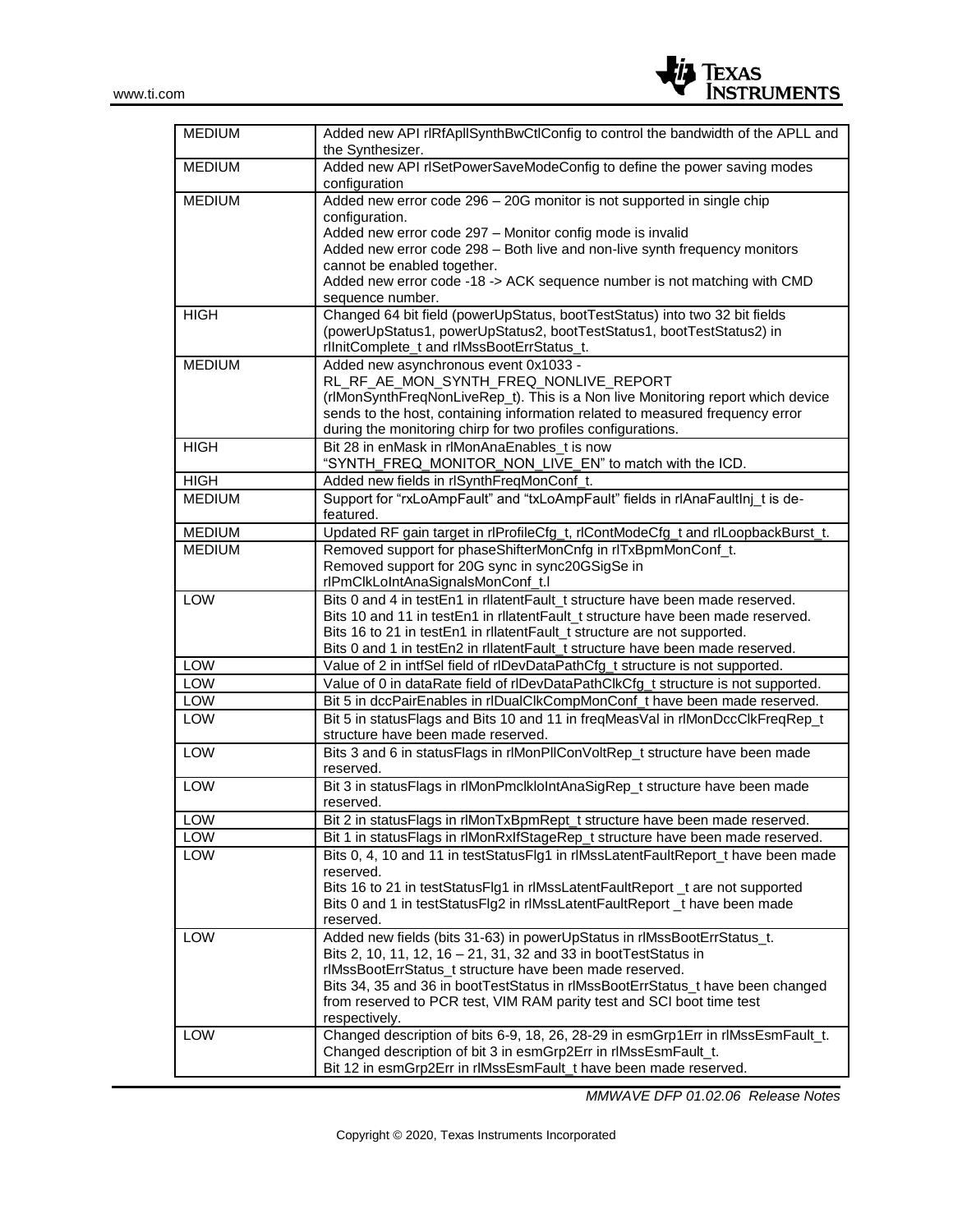

| <b>MEDIUM</b> | Added new API rIRfApIISynthBwCtIConfig to control the bandwidth of the APLL and<br>the Synthesizer.                         |  |  |
|---------------|-----------------------------------------------------------------------------------------------------------------------------|--|--|
| <b>MEDIUM</b> | Added new API rISetPowerSaveModeConfig to define the power saving modes<br>configuration                                    |  |  |
| <b>MEDIUM</b> | Added new error code 296 - 20G monitor is not supported in single chip                                                      |  |  |
|               | configuration.                                                                                                              |  |  |
|               | Added new error code 297 - Monitor config mode is invalid                                                                   |  |  |
|               | Added new error code 298 - Both live and non-live synth frequency monitors                                                  |  |  |
|               | cannot be enabled together.                                                                                                 |  |  |
|               | Added new error code -18 -> ACK sequence number is not matching with CMD                                                    |  |  |
|               | sequence number.                                                                                                            |  |  |
| <b>HIGH</b>   | Changed 64 bit field (powerUpStatus, bootTestStatus) into two 32 bit fields                                                 |  |  |
|               | (powerUpStatus1, powerUpStatus2, bootTestStatus1, bootTestStatus2) in                                                       |  |  |
|               | rlInitComplete_t and rlMssBootErrStatus_t.                                                                                  |  |  |
| <b>MEDIUM</b> | Added new asynchronous event 0x1033 -                                                                                       |  |  |
|               | RL_RF_AE_MON_SYNTH_FREQ_NONLIVE_REPORT                                                                                      |  |  |
|               | (rlMonSynthFreqNonLiveRep_t). This is a Non live Monitoring report which device                                             |  |  |
|               | sends to the host, containing information related to measured frequency error                                               |  |  |
|               | during the monitoring chirp for two profiles configurations.                                                                |  |  |
| <b>HIGH</b>   | Bit 28 in enMask in rlMonAnaEnables t is now                                                                                |  |  |
|               | "SYNTH_FREQ_MONITOR_NON_LIVE_EN" to match with the ICD.                                                                     |  |  |
| <b>HIGH</b>   | Added new fields in rlSynthFreqMonConf_t.<br>Support for "rxLoAmpFault" and "txLoAmpFault" fields in rlAnaFaultInj t is de- |  |  |
| <b>MEDIUM</b> | featured.                                                                                                                   |  |  |
| <b>MEDIUM</b> | Updated RF gain target in rlProfileCfg_t, rlContModeCfg_t and rlLoopbackBurst_t.                                            |  |  |
| <b>MEDIUM</b> | Removed support for phaseShifterMonCnfg in rlTxBpmMonConf_t.                                                                |  |  |
|               | Removed support for 20G sync in sync20GSigSe in                                                                             |  |  |
|               | rlPmClkLoIntAnaSignalsMonConf_t.l                                                                                           |  |  |
| <b>LOW</b>    | Bits 0 and 4 in testEn1 in rllatentFault_t structure have been made reserved.                                               |  |  |
|               | Bits 10 and 11 in testEn1 in rllatentFault_t structure have been made reserved.                                             |  |  |
|               | Bits 16 to 21 in testEn1 in rllatentFault_t structure are not supported.                                                    |  |  |
|               | Bits 0 and 1 in testEn2 in rllatentFault_t structure have been made reserved.                                               |  |  |
| LOW           | Value of 2 in intfSel field of rlDevDataPathCfg_t structure is not supported.                                               |  |  |
| LOW           | Value of 0 in dataRate field of rlDevDataPathClkCfg_t structure is not supported.                                           |  |  |
| LOW           | Bit 5 in dccPairEnables in rIDualClkCompMonConf_t have been made reserved.                                                  |  |  |
| LOW           | Bit 5 in statusFlags and Bits 10 and 11 in freqMeasVal in rlMonDccClkFreqRep_t<br>structure have been made reserved.        |  |  |
| <b>LOW</b>    | Bits 3 and 6 in statusFlags in rlMonPllConVoltRep_t structure have been made                                                |  |  |
|               | reserved.                                                                                                                   |  |  |
| <b>LOW</b>    | Bit 3 in statusFlags in rlMonPmclkloIntAnaSigRep_t structure have been made                                                 |  |  |
|               | reserved.                                                                                                                   |  |  |
| LOW           | Bit 2 in statusFlags in rlMonTxBpmRept_t structure have been made reserved.                                                 |  |  |
| LOW           | Bit 1 in statusFlags in rlMonRxIfStageRep_t structure have been made reserved.                                              |  |  |
| LOW           | Bits 0, 4, 10 and 11 in testStatusFlg1 in rlMssLatentFaultReport_t have been made                                           |  |  |
|               | reserved.                                                                                                                   |  |  |
|               | Bits 16 to 21 in testStatusFlg1 in rlMssLatentFaultReport_t are not supported                                               |  |  |
|               | Bits 0 and 1 in testStatusFlg2 in rlMssLatentFaultReport_t have been made                                                   |  |  |
|               | reserved.                                                                                                                   |  |  |
| LOW           | Added new fields (bits 31-63) in powerUpStatus in rlMssBootErrStatus_t.                                                     |  |  |
|               | Bits 2, 10, 11, 12, 16 - 21, 31, 32 and 33 in bootTestStatus in                                                             |  |  |
|               | rlMssBootErrStatus_t structure have been made reserved.                                                                     |  |  |
|               | Bits 34, 35 and 36 in bootTestStatus in rlMssBootErrStatus_t have been changed                                              |  |  |
|               | from reserved to PCR test, VIM RAM parity test and SCI boot time test                                                       |  |  |
|               | respectively.                                                                                                               |  |  |
| LOW           | Changed description of bits 6-9, 18, 26, 28-29 in esmGrp1Err in rlMssEsmFault_t.                                            |  |  |
|               | Changed description of bit 3 in esmGrp2Err in rlMssEsmFault_t.                                                              |  |  |
|               | Bit 12 in esmGrp2Err in rlMssEsmFault_t have been made reserved.                                                            |  |  |